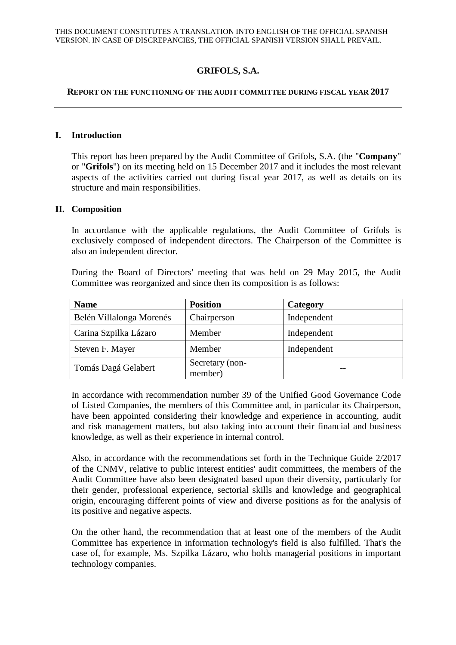# **GRIFOLS, S.A.**

### **REPORT ON THE FUNCTIONING OF THE AUDIT COMMITTEE DURING FISCAL YEAR 2017**

### **I. Introduction**

This report has been prepared by the Audit Committee of Grifols, S.A. (the "**Company**" or "**Grifols**") on its meeting held on 15 December 2017 and it includes the most relevant aspects of the activities carried out during fiscal year 2017, as well as details on its structure and main responsibilities.

#### **II. Composition**

In accordance with the applicable regulations, the Audit Committee of Grifols is exclusively composed of independent directors. The Chairperson of the Committee is also an independent director.

During the Board of Directors' meeting that was held on 29 May 2015, the Audit Committee was reorganized and since then its composition is as follows:

| <b>Name</b>              | <b>Position</b>            | Category    |
|--------------------------|----------------------------|-------------|
| Belén Villalonga Morenés | Chairperson                | Independent |
| Carina Szpilka Lázaro    | Member                     | Independent |
| Steven F. Mayer          | Member                     | Independent |
| Tomás Dagá Gelabert      | Secretary (non-<br>member) |             |

In accordance with recommendation number 39 of the Unified Good Governance Code of Listed Companies, the members of this Committee and, in particular its Chairperson, have been appointed considering their knowledge and experience in accounting, audit and risk management matters, but also taking into account their financial and business knowledge, as well as their experience in internal control.

Also, in accordance with the recommendations set forth in the Technique Guide 2/2017 of the CNMV, relative to public interest entities' audit committees, the members of the Audit Committee have also been designated based upon their diversity, particularly for their gender, professional experience, sectorial skills and knowledge and geographical origin, encouraging different points of view and diverse positions as for the analysis of its positive and negative aspects.

On the other hand, the recommendation that at least one of the members of the Audit Committee has experience in information technology's field is also fulfilled. That's the case of, for example, Ms. Szpilka Lázaro, who holds managerial positions in important technology companies.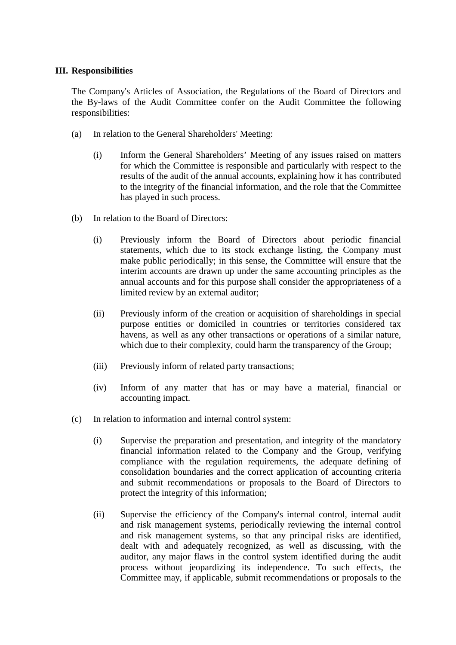## **III. Responsibilities**

The Company's Articles of Association, the Regulations of the Board of Directors and the By-laws of the Audit Committee confer on the Audit Committee the following responsibilities:

- (a) In relation to the General Shareholders' Meeting:
	- (i) Inform the General Shareholders' Meeting of any issues raised on matters for which the Committee is responsible and particularly with respect to the results of the audit of the annual accounts, explaining how it has contributed to the integrity of the financial information, and the role that the Committee has played in such process.
- (b) In relation to the Board of Directors:
	- (i) Previously inform the Board of Directors about periodic financial statements, which due to its stock exchange listing, the Company must make public periodically; in this sense, the Committee will ensure that the interim accounts are drawn up under the same accounting principles as the annual accounts and for this purpose shall consider the appropriateness of a limited review by an external auditor;
	- (ii) Previously inform of the creation or acquisition of shareholdings in special purpose entities or domiciled in countries or territories considered tax havens, as well as any other transactions or operations of a similar nature, which due to their complexity, could harm the transparency of the Group;
	- (iii) Previously inform of related party transactions;
	- (iv) Inform of any matter that has or may have a material, financial or accounting impact.
- (c) In relation to information and internal control system:
	- (i) Supervise the preparation and presentation, and integrity of the mandatory financial information related to the Company and the Group, verifying compliance with the regulation requirements, the adequate defining of consolidation boundaries and the correct application of accounting criteria and submit recommendations or proposals to the Board of Directors to protect the integrity of this information;
	- (ii) Supervise the efficiency of the Company's internal control, internal audit and risk management systems, periodically reviewing the internal control and risk management systems, so that any principal risks are identified, dealt with and adequately recognized, as well as discussing, with the auditor, any major flaws in the control system identified during the audit process without jeopardizing its independence. To such effects, the Committee may, if applicable, submit recommendations or proposals to the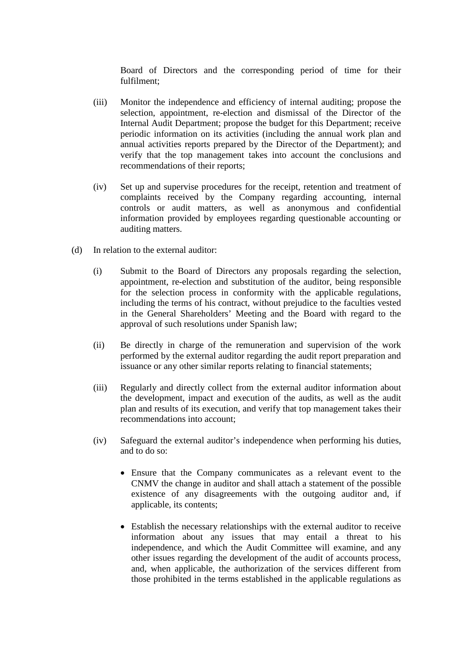Board of Directors and the corresponding period of time for their fulfilment;

- (iii) Monitor the independence and efficiency of internal auditing; propose the selection, appointment, re-election and dismissal of the Director of the Internal Audit Department; propose the budget for this Department; receive periodic information on its activities (including the annual work plan and annual activities reports prepared by the Director of the Department); and verify that the top management takes into account the conclusions and recommendations of their reports;
- (iv) Set up and supervise procedures for the receipt, retention and treatment of complaints received by the Company regarding accounting, internal controls or audit matters, as well as anonymous and confidential information provided by employees regarding questionable accounting or auditing matters.
- (d) In relation to the external auditor:
	- (i) Submit to the Board of Directors any proposals regarding the selection, appointment, re-election and substitution of the auditor, being responsible for the selection process in conformity with the applicable regulations, including the terms of his contract, without prejudice to the faculties vested in the General Shareholders' Meeting and the Board with regard to the approval of such resolutions under Spanish law;
	- (ii) Be directly in charge of the remuneration and supervision of the work performed by the external auditor regarding the audit report preparation and issuance or any other similar reports relating to financial statements;
	- (iii) Regularly and directly collect from the external auditor information about the development, impact and execution of the audits, as well as the audit plan and results of its execution, and verify that top management takes their recommendations into account;
	- (iv) Safeguard the external auditor's independence when performing his duties, and to do so:
		- Ensure that the Company communicates as a relevant event to the CNMV the change in auditor and shall attach a statement of the possible existence of any disagreements with the outgoing auditor and, if applicable, its contents;
		- Establish the necessary relationships with the external auditor to receive information about any issues that may entail a threat to his independence, and which the Audit Committee will examine, and any other issues regarding the development of the audit of accounts process, and, when applicable, the authorization of the services different from those prohibited in the terms established in the applicable regulations as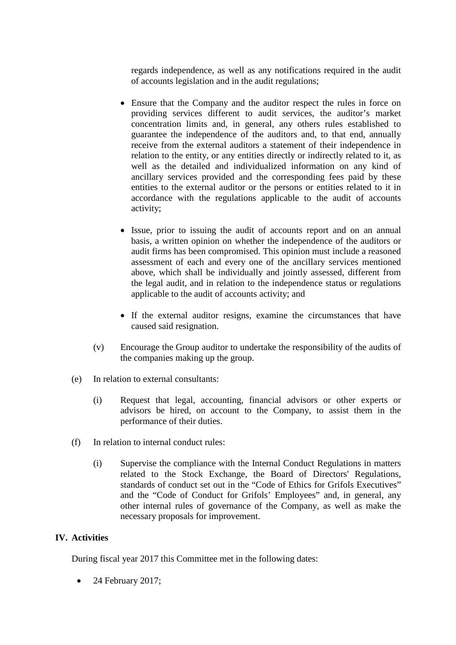regards independence, as well as any notifications required in the audit of accounts legislation and in the audit regulations;

- Ensure that the Company and the auditor respect the rules in force on providing services different to audit services, the auditor's market concentration limits and, in general, any others rules established to guarantee the independence of the auditors and, to that end, annually receive from the external auditors a statement of their independence in relation to the entity, or any entities directly or indirectly related to it, as well as the detailed and individualized information on any kind of ancillary services provided and the corresponding fees paid by these entities to the external auditor or the persons or entities related to it in accordance with the regulations applicable to the audit of accounts activity;
- Issue, prior to issuing the audit of accounts report and on an annual basis, a written opinion on whether the independence of the auditors or audit firms has been compromised. This opinion must include a reasoned assessment of each and every one of the ancillary services mentioned above, which shall be individually and jointly assessed, different from the legal audit, and in relation to the independence status or regulations applicable to the audit of accounts activity; and
- If the external auditor resigns, examine the circumstances that have caused said resignation.
- (v) Encourage the Group auditor to undertake the responsibility of the audits of the companies making up the group.
- (e) In relation to external consultants:
	- (i) Request that legal, accounting, financial advisors or other experts or advisors be hired, on account to the Company, to assist them in the performance of their duties.
- (f) In relation to internal conduct rules:
	- (i) Supervise the compliance with the Internal Conduct Regulations in matters related to the Stock Exchange, the Board of Directors' Regulations, standards of conduct set out in the "Code of Ethics for Grifols Executives" and the "Code of Conduct for Grifols' Employees" and, in general, any other internal rules of governance of the Company, as well as make the necessary proposals for improvement.

# **IV. Activities**

During fiscal year 2017 this Committee met in the following dates:

24 February 2017;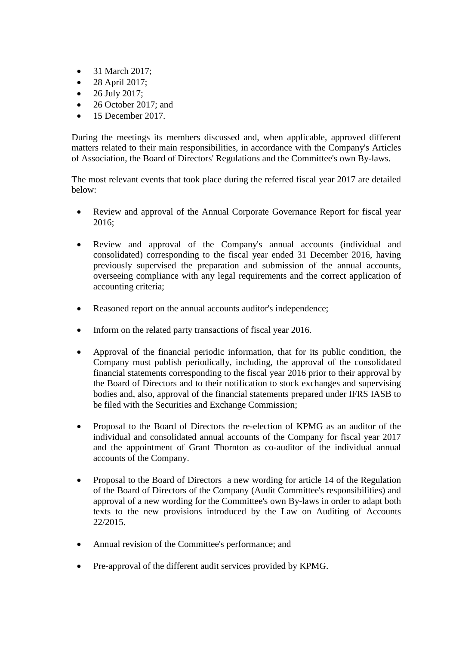- 31 March 2017;
- 28 April 2017;
- 26 July 2017;
- 26 October 2017; and
- 15 December 2017.

During the meetings its members discussed and, when applicable, approved different matters related to their main responsibilities, in accordance with the Company's Articles of Association, the Board of Directors' Regulations and the Committee's own By-laws.

The most relevant events that took place during the referred fiscal year 2017 are detailed below:

- Review and approval of the Annual Corporate Governance Report for fiscal year 2016;
- Review and approval of the Company's annual accounts (individual and consolidated) corresponding to the fiscal year ended 31 December 2016, having previously supervised the preparation and submission of the annual accounts, overseeing compliance with any legal requirements and the correct application of accounting criteria;
- Reasoned report on the annual accounts auditor's independence;
- Inform on the related party transactions of fiscal year 2016.
- Approval of the financial periodic information, that for its public condition, the Company must publish periodically, including, the approval of the consolidated financial statements corresponding to the fiscal year 2016 prior to their approval by the Board of Directors and to their notification to stock exchanges and supervising bodies and, also, approval of the financial statements prepared under IFRS IASB to be filed with the Securities and Exchange Commission;
- Proposal to the Board of Directors the re-election of KPMG as an auditor of the individual and consolidated annual accounts of the Company for fiscal year 2017 and the appointment of Grant Thornton as co-auditor of the individual annual accounts of the Company.
- Proposal to the Board of Directors a new wording for article 14 of the Regulation of the Board of Directors of the Company (Audit Committee's responsibilities) and approval of a new wording for the Committee's own By-laws in order to adapt both texts to the new provisions introduced by the Law on Auditing of Accounts 22/2015.
- Annual revision of the Committee's performance; and
- Pre-approval of the different audit services provided by KPMG.